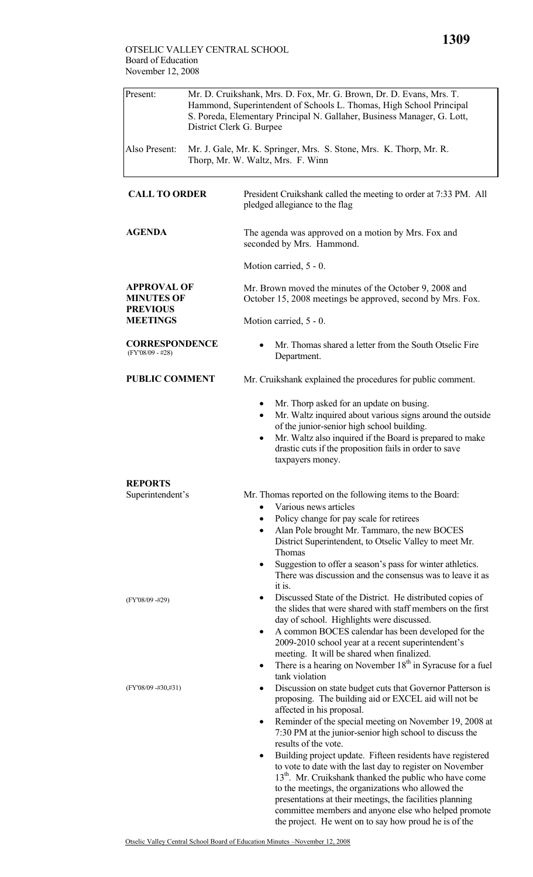| Present:                                                                      | Mr. D. Cruikshank, Mrs. D. Fox, Mr. G. Brown, Dr. D. Evans, Mrs. T.<br>Hammond, Superintendent of Schools L. Thomas, High School Principal<br>S. Poreda, Elementary Principal N. Gallaher, Business Manager, G. Lott,<br>District Clerk G. Burpee |                                                                                                                                                                                                                                                                                                                                                                                                                                                                                                                                                                                                                                                                                                                                                          |  |  |  |
|-------------------------------------------------------------------------------|---------------------------------------------------------------------------------------------------------------------------------------------------------------------------------------------------------------------------------------------------|----------------------------------------------------------------------------------------------------------------------------------------------------------------------------------------------------------------------------------------------------------------------------------------------------------------------------------------------------------------------------------------------------------------------------------------------------------------------------------------------------------------------------------------------------------------------------------------------------------------------------------------------------------------------------------------------------------------------------------------------------------|--|--|--|
| Also Present:                                                                 | Mr. J. Gale, Mr. K. Springer, Mrs. S. Stone, Mrs. K. Thorp, Mr. R.<br>Thorp, Mr. W. Waltz, Mrs. F. Winn                                                                                                                                           |                                                                                                                                                                                                                                                                                                                                                                                                                                                                                                                                                                                                                                                                                                                                                          |  |  |  |
| <b>CALL TO ORDER</b>                                                          |                                                                                                                                                                                                                                                   | President Cruikshank called the meeting to order at 7:33 PM. All<br>pledged allegiance to the flag                                                                                                                                                                                                                                                                                                                                                                                                                                                                                                                                                                                                                                                       |  |  |  |
| <b>AGENDA</b>                                                                 |                                                                                                                                                                                                                                                   | The agenda was approved on a motion by Mrs. Fox and<br>seconded by Mrs. Hammond.                                                                                                                                                                                                                                                                                                                                                                                                                                                                                                                                                                                                                                                                         |  |  |  |
|                                                                               |                                                                                                                                                                                                                                                   | Motion carried, 5 - 0.                                                                                                                                                                                                                                                                                                                                                                                                                                                                                                                                                                                                                                                                                                                                   |  |  |  |
| <b>APPROVAL OF</b><br><b>MINUTES OF</b><br><b>PREVIOUS</b><br><b>MEETINGS</b> |                                                                                                                                                                                                                                                   | Mr. Brown moved the minutes of the October 9, 2008 and<br>October 15, 2008 meetings be approved, second by Mrs. Fox.                                                                                                                                                                                                                                                                                                                                                                                                                                                                                                                                                                                                                                     |  |  |  |
|                                                                               |                                                                                                                                                                                                                                                   | Motion carried, 5 - 0.                                                                                                                                                                                                                                                                                                                                                                                                                                                                                                                                                                                                                                                                                                                                   |  |  |  |
| <b>CORRESPONDENCE</b><br>$(FY'08/09 - #28)$                                   |                                                                                                                                                                                                                                                   | Mr. Thomas shared a letter from the South Otselic Fire<br>Department.                                                                                                                                                                                                                                                                                                                                                                                                                                                                                                                                                                                                                                                                                    |  |  |  |
| <b>PUBLIC COMMENT</b>                                                         |                                                                                                                                                                                                                                                   | Mr. Cruikshank explained the procedures for public comment.                                                                                                                                                                                                                                                                                                                                                                                                                                                                                                                                                                                                                                                                                              |  |  |  |
|                                                                               |                                                                                                                                                                                                                                                   | Mr. Thorp asked for an update on busing.<br>Mr. Waltz inquired about various signs around the outside<br>of the junior-senior high school building.<br>Mr. Waltz also inquired if the Board is prepared to make<br>$\bullet$<br>drastic cuts if the proposition fails in order to save<br>taxpayers money.                                                                                                                                                                                                                                                                                                                                                                                                                                               |  |  |  |
| <b>REPORTS</b>                                                                |                                                                                                                                                                                                                                                   |                                                                                                                                                                                                                                                                                                                                                                                                                                                                                                                                                                                                                                                                                                                                                          |  |  |  |
| Superintendent's                                                              |                                                                                                                                                                                                                                                   | Mr. Thomas reported on the following items to the Board:<br>Various news articles                                                                                                                                                                                                                                                                                                                                                                                                                                                                                                                                                                                                                                                                        |  |  |  |
|                                                                               |                                                                                                                                                                                                                                                   | Policy change for pay scale for retirees<br>$\bullet$<br>Alan Pole brought Mr. Tammaro, the new BOCES<br>٠<br>District Superintendent, to Otselic Valley to meet Mr.<br>Thomas                                                                                                                                                                                                                                                                                                                                                                                                                                                                                                                                                                           |  |  |  |
|                                                                               |                                                                                                                                                                                                                                                   | Suggestion to offer a season's pass for winter athletics.<br>٠<br>There was discussion and the consensus was to leave it as<br>it is.                                                                                                                                                                                                                                                                                                                                                                                                                                                                                                                                                                                                                    |  |  |  |
| (FY'08/09 -#29)                                                               |                                                                                                                                                                                                                                                   | Discussed State of the District. He distributed copies of<br>٠<br>the slides that were shared with staff members on the first<br>day of school. Highlights were discussed.<br>A common BOCES calendar has been developed for the<br>٠<br>2009-2010 school year at a recent superintendent's<br>meeting. It will be shared when finalized.<br>There is a hearing on November $18th$ in Syracuse for a fuel<br>٠<br>tank violation                                                                                                                                                                                                                                                                                                                         |  |  |  |
| $(FY'08/09 - #30, #31)$                                                       |                                                                                                                                                                                                                                                   | Discussion on state budget cuts that Governor Patterson is<br>٠<br>proposing. The building aid or EXCEL aid will not be<br>affected in his proposal.<br>Reminder of the special meeting on November 19, 2008 at<br>٠<br>7:30 PM at the junior-senior high school to discuss the<br>results of the vote.<br>Building project update. Fifteen residents have registered<br>$\bullet$<br>to vote to date with the last day to register on November<br>13 <sup>th</sup> . Mr. Cruikshank thanked the public who have come<br>to the meetings, the organizations who allowed the<br>presentations at their meetings, the facilities planning<br>committee members and anyone else who helped promote<br>the project. He went on to say how proud he is of the |  |  |  |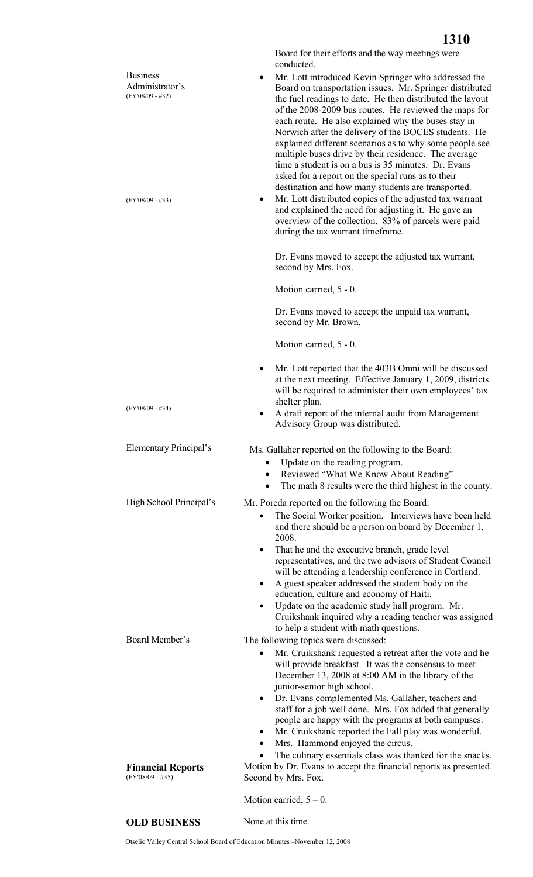|                                                                              | Board for their efforts and the way meetings were<br>conducted.                                                                                                                                                                                                                                                                                                                                                                                                                                                                                                                                                                                                                                             |  |  |
|------------------------------------------------------------------------------|-------------------------------------------------------------------------------------------------------------------------------------------------------------------------------------------------------------------------------------------------------------------------------------------------------------------------------------------------------------------------------------------------------------------------------------------------------------------------------------------------------------------------------------------------------------------------------------------------------------------------------------------------------------------------------------------------------------|--|--|
| <b>Business</b><br>Administrator's<br>(FY'08/09 - #32)<br>$(FY'08/09 - #33)$ | Mr. Lott introduced Kevin Springer who addressed the<br>٠<br>Board on transportation issues. Mr. Springer distributed<br>the fuel readings to date. He then distributed the layout<br>of the 2008-2009 bus routes. He reviewed the maps for<br>each route. He also explained why the buses stay in<br>Norwich after the delivery of the BOCES students. He<br>explained different scenarios as to why some people see<br>multiple buses drive by their residence. The average<br>time a student is on a bus is 35 minutes. Dr. Evans<br>asked for a report on the special runs as to their<br>destination and how many students are transported.<br>Mr. Lott distributed copies of the adjusted tax warrant |  |  |
|                                                                              | and explained the need for adjusting it. He gave an<br>overview of the collection. 83% of parcels were paid<br>during the tax warrant timeframe.                                                                                                                                                                                                                                                                                                                                                                                                                                                                                                                                                            |  |  |
|                                                                              | Dr. Evans moved to accept the adjusted tax warrant,<br>second by Mrs. Fox.                                                                                                                                                                                                                                                                                                                                                                                                                                                                                                                                                                                                                                  |  |  |
|                                                                              | Motion carried, 5 - 0.                                                                                                                                                                                                                                                                                                                                                                                                                                                                                                                                                                                                                                                                                      |  |  |
|                                                                              | Dr. Evans moved to accept the unpaid tax warrant,<br>second by Mr. Brown.                                                                                                                                                                                                                                                                                                                                                                                                                                                                                                                                                                                                                                   |  |  |
|                                                                              | Motion carried, 5 - 0.                                                                                                                                                                                                                                                                                                                                                                                                                                                                                                                                                                                                                                                                                      |  |  |
|                                                                              | Mr. Lott reported that the 403B Omni will be discussed<br>٠<br>at the next meeting. Effective January 1, 2009, districts<br>will be required to administer their own employees' tax<br>shelter plan.                                                                                                                                                                                                                                                                                                                                                                                                                                                                                                        |  |  |
| $(FY'08/09 - #34)$                                                           | A draft report of the internal audit from Management<br>٠<br>Advisory Group was distributed.                                                                                                                                                                                                                                                                                                                                                                                                                                                                                                                                                                                                                |  |  |
| Elementary Principal's                                                       | Ms. Gallaher reported on the following to the Board:<br>Update on the reading program.<br>Reviewed "What We Know About Reading"<br>$\bullet$<br>The math 8 results were the third highest in the county.                                                                                                                                                                                                                                                                                                                                                                                                                                                                                                    |  |  |
| High School Principal's                                                      | Mr. Poreda reported on the following the Board:                                                                                                                                                                                                                                                                                                                                                                                                                                                                                                                                                                                                                                                             |  |  |
|                                                                              | The Social Worker position. Interviews have been held<br>and there should be a person on board by December 1,<br>2008.<br>That he and the executive branch, grade level<br>representatives, and the two advisors of Student Council<br>will be attending a leadership conference in Cortland.<br>A guest speaker addressed the student body on the<br>education, culture and economy of Haiti.<br>Update on the academic study hall program. Mr.<br>Cruikshank inquired why a reading teacher was assigned<br>to help a student with math questions.                                                                                                                                                        |  |  |
| Board Member's                                                               | The following topics were discussed:<br>Mr. Cruikshank requested a retreat after the vote and he<br>will provide breakfast. It was the consensus to meet<br>December 13, 2008 at 8:00 AM in the library of the<br>junior-senior high school.<br>Dr. Evans complemented Ms. Gallaher, teachers and<br>$\bullet$<br>staff for a job well done. Mrs. Fox added that generally<br>people are happy with the programs at both campuses.<br>Mr. Cruikshank reported the Fall play was wonderful.<br>٠<br>Mrs. Hammond enjoyed the circus.<br>$\bullet$<br>The culinary essentials class was thanked for the snacks.<br>$\bullet$                                                                                  |  |  |
| <b>Financial Reports</b><br>$(FY'08/09 - #35)$                               | Motion by Dr. Evans to accept the financial reports as presented.<br>Second by Mrs. Fox.                                                                                                                                                                                                                                                                                                                                                                                                                                                                                                                                                                                                                    |  |  |
|                                                                              | Motion carried, $5 - 0$ .                                                                                                                                                                                                                                                                                                                                                                                                                                                                                                                                                                                                                                                                                   |  |  |

## **OLD BUSINESS** None at this time.